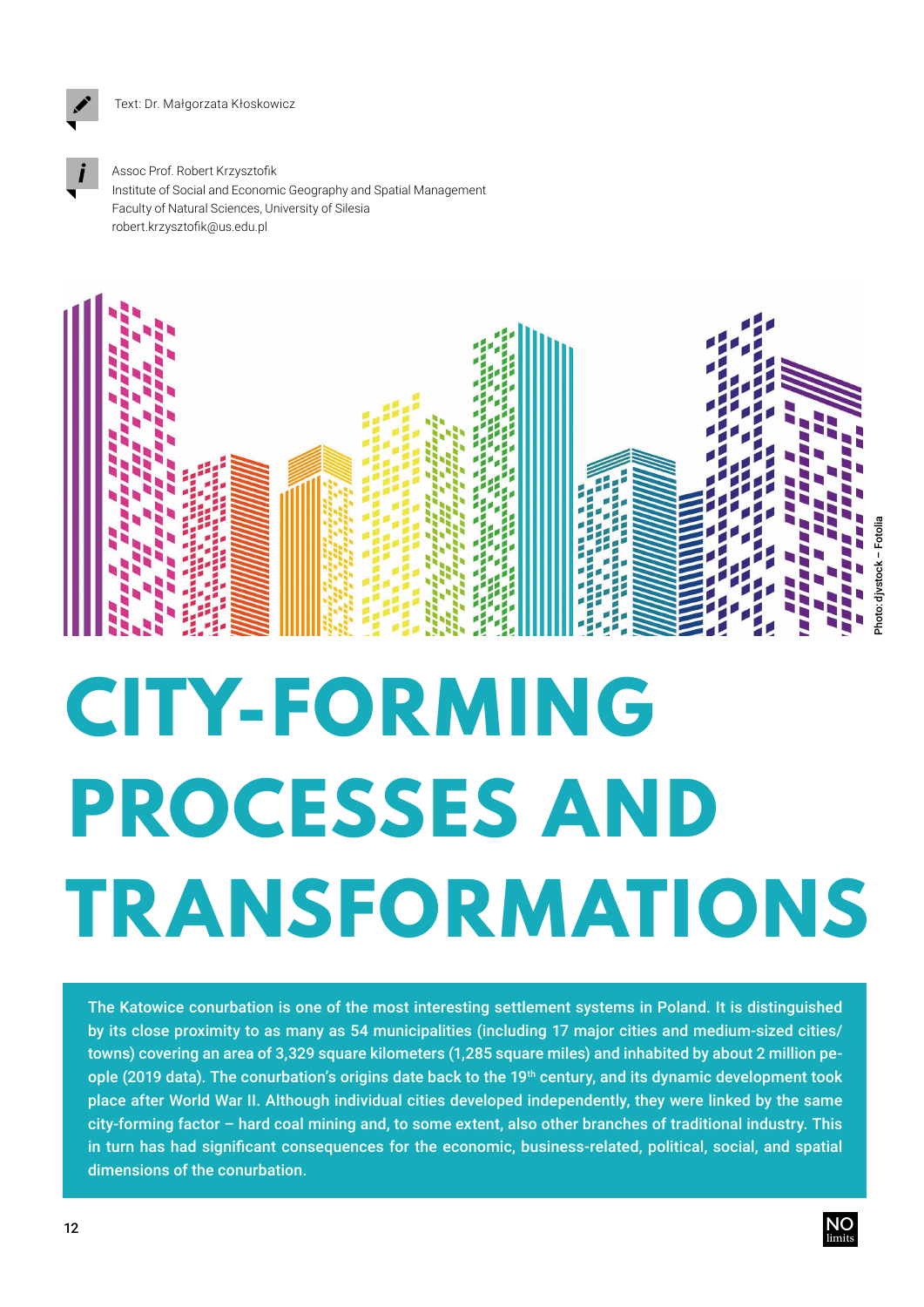

Assoc Prof. Robert Krzysztofik Institute of Social and Economic Geography and Spatial Management Faculty of Natural Sciences, University of Silesia robert.krzysztofik@us.edu.pl



## **CITY-FORMING PROCESSES AND TRANSFORMATIONS**

The Katowice conurbation is one of the most interesting settlement systems in Poland. It is distinguished by its close proximity to as many as 54 municipalities (including 17 major cities and medium-sized cities/ towns) covering an area of 3.329 square kilometers (1.285 square miles) and inhabited by about 2 million people (2019 data). The conurbation's origins date back to the 19<sup>th</sup> century, and its dynamic development took place after World War II. Although individual cities developed independently, they were linked by the same city-forming factor – hard coal mining and, to some extent, also other branches of traditional industry. This in turn has had significant consequences for the economic, business-related, political, social, and spatial dimensions of the conurbation.